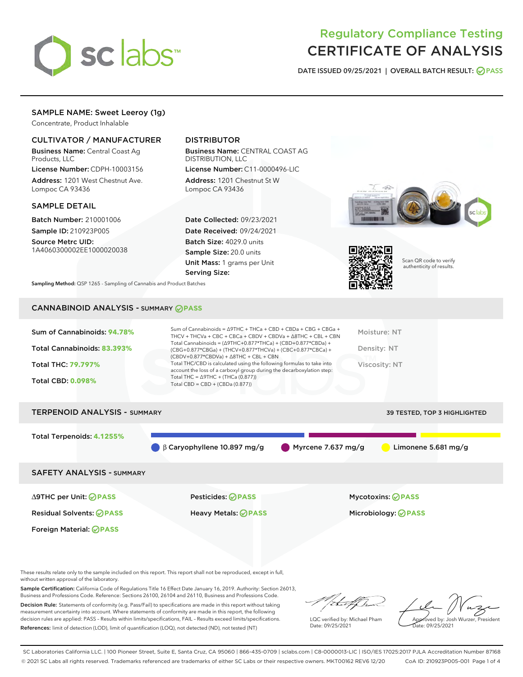

# Regulatory Compliance Testing CERTIFICATE OF ANALYSIS

DATE ISSUED 09/25/2021 | OVERALL BATCH RESULT: @ PASS

# SAMPLE NAME: Sweet Leeroy (1g)

Concentrate, Product Inhalable

# CULTIVATOR / MANUFACTURER

Business Name: Central Coast Ag Products, LLC

License Number: CDPH-10003156 Address: 1201 West Chestnut Ave. Lompoc CA 93436

#### SAMPLE DETAIL

Batch Number: 210001006 Sample ID: 210923P005

Source Metrc UID: 1A4060300002EE1000020038

# DISTRIBUTOR

Business Name: CENTRAL COAST AG DISTRIBUTION, LLC License Number: C11-0000496-LIC

Address: 1201 Chestnut St W Lompoc CA 93436

Date Collected: 09/23/2021 Date Received: 09/24/2021 Batch Size: 4029.0 units Sample Size: 20.0 units Unit Mass: 1 grams per Unit Serving Size:





Scan QR code to verify authenticity of results.

Sampling Method: QSP 1265 - Sampling of Cannabis and Product Batches

# CANNABINOID ANALYSIS - SUMMARY **PASS**

| Total Cannabinoids: 83.393%<br>Density: NT<br>(CBG+0.877*CBGa) + (THCV+0.877*THCVa) + (CBC+0.877*CBCa) +<br>$(CBDV+0.877*CBDVa) + \Delta 8THC + CBL + CBN$<br>Total THC/CBD is calculated using the following formulas to take into<br><b>Total THC: 79.797%</b><br>Viscosity: NT<br>account the loss of a carboxyl group during the decarboxylation step:<br>Total THC = $\triangle$ 9THC + (THCa (0.877))<br><b>Total CBD: 0.098%</b><br>Total CBD = $CBD + (CBDa (0.877))$ | Sum of Cannabinoids: 94.78% | Sum of Cannabinoids = $\triangle$ 9THC + THCa + CBD + CBDa + CBG + CBGa +<br>THCV + THCVa + CBC + CBCa + CBDV + CBDVa + $\Delta$ 8THC + CBL + CBN<br>Total Cannabinoids = $(\Delta$ 9THC+0.877*THCa) + (CBD+0.877*CBDa) + | Moisture: NT |
|-------------------------------------------------------------------------------------------------------------------------------------------------------------------------------------------------------------------------------------------------------------------------------------------------------------------------------------------------------------------------------------------------------------------------------------------------------------------------------|-----------------------------|---------------------------------------------------------------------------------------------------------------------------------------------------------------------------------------------------------------------------|--------------|
|                                                                                                                                                                                                                                                                                                                                                                                                                                                                               |                             |                                                                                                                                                                                                                           |              |
|                                                                                                                                                                                                                                                                                                                                                                                                                                                                               |                             |                                                                                                                                                                                                                           |              |
|                                                                                                                                                                                                                                                                                                                                                                                                                                                                               |                             |                                                                                                                                                                                                                           |              |

# TERPENOID ANALYSIS - SUMMARY 39 TESTED, TOP 3 HIGHLIGHTED Total Terpenoids: **4.1255%** β Caryophyllene 10.897 mg/g Myrcene 7.637 mg/g Limonene 5.681 mg/g SAFETY ANALYSIS - SUMMARY

Foreign Material: **PASS**

∆9THC per Unit: **PASS** Pesticides: **PASS** Mycotoxins: **PASS**

Residual Solvents: **PASS** Heavy Metals: **PASS** Microbiology: **PASS**

These results relate only to the sample included on this report. This report shall not be reproduced, except in full, without written approval of the laboratory.

Sample Certification: California Code of Regulations Title 16 Effect Date January 16, 2019. Authority: Section 26013, Business and Professions Code. Reference: Sections 26100, 26104 and 26110, Business and Professions Code. Decision Rule: Statements of conformity (e.g. Pass/Fail) to specifications are made in this report without taking

measurement uncertainty into account. Where statements of conformity are made in this report, the following decision rules are applied: PASS – Results within limits/specifications, FAIL – Results exceed limits/specifications. References: limit of detection (LOD), limit of quantification (LOQ), not detected (ND), not tested (NT)

that f

LQC verified by: Michael Pham Date: 09/25/2021

Approved by: Josh Wurzer, President ate: 09/25/2021

SC Laboratories California LLC. | 100 Pioneer Street, Suite E, Santa Cruz, CA 95060 | 866-435-0709 | sclabs.com | C8-0000013-LIC | ISO/IES 17025:2017 PJLA Accreditation Number 87168 © 2021 SC Labs all rights reserved. Trademarks referenced are trademarks of either SC Labs or their respective owners. MKT00162 REV6 12/20 CoA ID: 210923P005-001 Page 1 of 4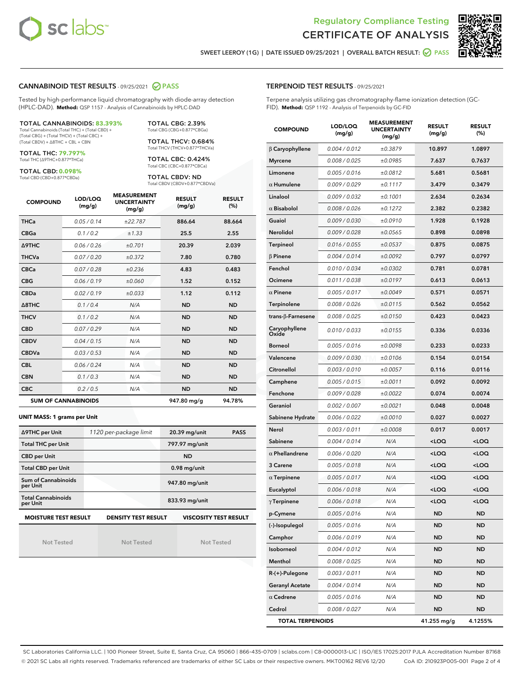



SWEET LEEROY (1G) | DATE ISSUED 09/25/2021 | OVERALL BATCH RESULT: @ PASS

#### CANNABINOID TEST RESULTS - 09/25/2021 2 PASS

Tested by high-performance liquid chromatography with diode-array detection (HPLC-DAD). **Method:** QSP 1157 - Analysis of Cannabinoids by HPLC-DAD

#### TOTAL CANNABINOIDS: **83.393%** Total Cannabinoids (Total THC) + (Total CBD) +

(Total CBG) + (Total THCV) + (Total CBC) + (Total CBDV) + ∆8THC + CBL + CBN

TOTAL THC: **79.797%** Total THC (∆9THC+0.877\*THCa)

TOTAL CBD: **0.098%**

Total CBD (CBD+0.877\*CBDa)

TOTAL CBG: 2.39% Total CBG (CBG+0.877\*CBGa)

TOTAL THCV: 0.684% Total THCV (THCV+0.877\*THCVa)

TOTAL CBC: 0.424% Total CBC (CBC+0.877\*CBCa)

TOTAL CBDV: ND Total CBDV (CBDV+0.877\*CBDVa)

| <b>COMPOUND</b> | LOD/LOQ<br>(mg/g)          | <b>MEASUREMENT</b><br><b>UNCERTAINTY</b><br>(mg/g) | <b>RESULT</b><br>(mg/g) | <b>RESULT</b><br>(%) |
|-----------------|----------------------------|----------------------------------------------------|-------------------------|----------------------|
| <b>THCa</b>     | 0.05/0.14                  | ±22.787                                            | 886.64                  | 88.664               |
| <b>CBGa</b>     | 0.1/0.2                    | ±1.33                                              | 25.5                    | 2.55                 |
| <b>A9THC</b>    | 0.06/0.26                  | ±0.701                                             | 20.39                   | 2.039                |
| <b>THCVa</b>    | 0.07/0.20                  | ±0.372                                             | 7.80                    | 0.780                |
| <b>CBCa</b>     | 0.07 / 0.28                | ±0.236                                             | 4.83                    | 0.483                |
| <b>CBG</b>      | 0.06/0.19                  | ±0.060                                             | 1.52                    | 0.152                |
| <b>CBDa</b>     | 0.02/0.19                  | ±0.033                                             | 1.12                    | 0.112                |
| A8THC           | 0.1/0.4                    | N/A                                                | <b>ND</b>               | <b>ND</b>            |
| <b>THCV</b>     | 0.1/0.2                    | N/A                                                | <b>ND</b>               | <b>ND</b>            |
| <b>CBD</b>      | 0.07/0.29                  | N/A                                                | <b>ND</b>               | <b>ND</b>            |
| <b>CBDV</b>     | 0.04 / 0.15                | N/A                                                | <b>ND</b>               | <b>ND</b>            |
| <b>CBDVa</b>    | 0.03/0.53                  | N/A                                                | <b>ND</b>               | <b>ND</b>            |
| <b>CBL</b>      | 0.06 / 0.24                | N/A                                                | <b>ND</b>               | <b>ND</b>            |
| <b>CBN</b>      | 0.1/0.3                    | N/A                                                | <b>ND</b>               | <b>ND</b>            |
| <b>CBC</b>      | 0.2 / 0.5                  | N/A                                                | <b>ND</b>               | <b>ND</b>            |
|                 | <b>SUM OF CANNABINOIDS</b> |                                                    | 947.80 mg/g             | 94.78%               |

#### **UNIT MASS: 1 grams per Unit**

| ∆9THC per Unit                        | 1120 per-package limit     | 20.39 mg/unit<br><b>PASS</b> |
|---------------------------------------|----------------------------|------------------------------|
| <b>Total THC per Unit</b>             |                            | 797.97 mg/unit               |
| <b>CBD per Unit</b>                   |                            | <b>ND</b>                    |
| <b>Total CBD per Unit</b>             |                            | $0.98$ mg/unit               |
| Sum of Cannabinoids<br>per Unit       |                            | 947.80 mg/unit               |
| <b>Total Cannabinoids</b><br>per Unit |                            | 833.93 mg/unit               |
| <b>MOISTURE TEST RESULT</b>           | <b>DENSITY TEST RESULT</b> | <b>VISCOSITY TEST RESULT</b> |

Not Tested

Not Tested

Not Tested

TERPENOID TEST RESULTS - 09/25/2021

Terpene analysis utilizing gas chromatography-flame ionization detection (GC-FID). **Method:** QSP 1192 - Analysis of Terpenoids by GC-FID

| <b>COMPOUND</b>         | LOD/LOQ<br>(mg/g) | <b>MEASUREMENT</b><br><b>UNCERTAINTY</b><br>(mg/g) | <b>RESULT</b><br>(mg/g)                         | <b>RESULT</b><br>$(\%)$ |
|-------------------------|-------------------|----------------------------------------------------|-------------------------------------------------|-------------------------|
| β Caryophyllene         | 0.004 / 0.012     | ±0.3879                                            | 10.897                                          | 1.0897                  |
| <b>Myrcene</b>          | 0.008 / 0.025     | ±0.0985                                            | 7.637                                           | 0.7637                  |
| Limonene                | 0.005 / 0.016     | ±0.0812                                            | 5.681                                           | 0.5681                  |
| $\alpha$ Humulene       | 0.009/0.029       | ±0.1117                                            | 3.479                                           | 0.3479                  |
| Linalool                | 0.009 / 0.032     | ±0.1001                                            | 2.634                                           | 0.2634                  |
| $\alpha$ Bisabolol      | 0.008 / 0.026     | ±0.1272                                            | 2.382                                           | 0.2382                  |
| Guaiol                  | 0.009 / 0.030     | ±0.0910                                            | 1.928                                           | 0.1928                  |
| Nerolidol               | 0.009 / 0.028     | ±0.0565                                            | 0.898                                           | 0.0898                  |
| Terpineol               | 0.016 / 0.055     | ±0.0537                                            | 0.875                                           | 0.0875                  |
| $\beta$ Pinene          | 0.004 / 0.014     | ±0.0092                                            | 0.797                                           | 0.0797                  |
| Fenchol                 | 0.010 / 0.034     | ±0.0302                                            | 0.781                                           | 0.0781                  |
| Ocimene                 | 0.011 / 0.038     | ±0.0197                                            | 0.613                                           | 0.0613                  |
| $\alpha$ Pinene         | 0.005 / 0.017     | ±0.0049                                            | 0.571                                           | 0.0571                  |
| Terpinolene             | 0.008 / 0.026     | ±0.0115                                            | 0.562                                           | 0.0562                  |
| trans-β-Farnesene       | 0.008 / 0.025     | ±0.0150                                            | 0.423                                           | 0.0423                  |
| Caryophyllene<br>Oxide  | 0.010 / 0.033     | ±0.0155                                            | 0.336                                           | 0.0336                  |
| <b>Borneol</b>          | 0.005 / 0.016     | ±0.0098                                            | 0.233                                           | 0.0233                  |
| Valencene               | 0.009 / 0.030     | ±0.0106                                            | 0.154                                           | 0.0154                  |
| Citronellol             | 0.003 / 0.010     | ±0.0057                                            | 0.116                                           | 0.0116                  |
| Camphene                | 0.005 / 0.015     | ±0.0011                                            | 0.092                                           | 0.0092                  |
| Fenchone                | 0.009 / 0.028     | ±0.0022                                            | 0.074                                           | 0.0074                  |
| Geraniol                | 0.002 / 0.007     | ±0.0021                                            | 0.048                                           | 0.0048                  |
| Sabinene Hydrate        | 0.006 / 0.022     | ±0.0010                                            | 0.027                                           | 0.0027                  |
| Nerol                   | 0.003 / 0.011     | ±0.0008                                            | 0.017                                           | 0.0017                  |
| Sabinene                | 0.004 / 0.014     | N/A                                                | <loq< th=""><th><loq< th=""></loq<></th></loq<> | <loq< th=""></loq<>     |
| $\alpha$ Phellandrene   | 0.006 / 0.020     | N/A                                                | <loq< th=""><th><loq< th=""></loq<></th></loq<> | <loq< th=""></loq<>     |
| 3 Carene                | 0.005 / 0.018     | N/A                                                | <loq< th=""><th><loq< th=""></loq<></th></loq<> | <loq< th=""></loq<>     |
| $\alpha$ Terpinene      | 0.005 / 0.017     | N/A                                                | <loq< th=""><th><loq< th=""></loq<></th></loq<> | <loq< th=""></loq<>     |
| Eucalyptol              | 0.006 / 0.018     | N/A                                                | <loq< th=""><th><loq< th=""></loq<></th></loq<> | <loq< th=""></loq<>     |
| $\gamma$ Terpinene      | 0.006 / 0.018     | N/A                                                | <loq< th=""><th><loq< th=""></loq<></th></loq<> | <loq< th=""></loq<>     |
| p-Cymene                | 0.005 / 0.016     | N/A                                                | ND                                              | ND                      |
| (-)-Isopulegol          | 0.005 / 0.016     | N/A                                                | ND                                              | ND                      |
| Camphor                 | 0.006 / 0.019     | N/A                                                | ND                                              | ND                      |
| Isoborneol              | 0.004 / 0.012     | N/A                                                | ND                                              | ND                      |
| Menthol                 | 0.008 / 0.025     | N/A                                                | ND                                              | ND                      |
| R-(+)-Pulegone          | 0.003 / 0.011     | N/A                                                | ND                                              | ND                      |
| <b>Geranyl Acetate</b>  | 0.004 / 0.014     | N/A                                                | ND                                              | ND                      |
| $\alpha$ Cedrene        | 0.005 / 0.016     | N/A                                                | ND                                              | ND                      |
| Cedrol                  | 0.008 / 0.027     | N/A                                                | ND                                              | ND                      |
| <b>TOTAL TERPENOIDS</b> |                   |                                                    | 41.255 mg/g                                     | 4.1255%                 |

SC Laboratories California LLC. | 100 Pioneer Street, Suite E, Santa Cruz, CA 95060 | 866-435-0709 | sclabs.com | C8-0000013-LIC | ISO/IES 17025:2017 PJLA Accreditation Number 87168 © 2021 SC Labs all rights reserved. Trademarks referenced are trademarks of either SC Labs or their respective owners. MKT00162 REV6 12/20 CoA ID: 210923P005-001 Page 2 of 4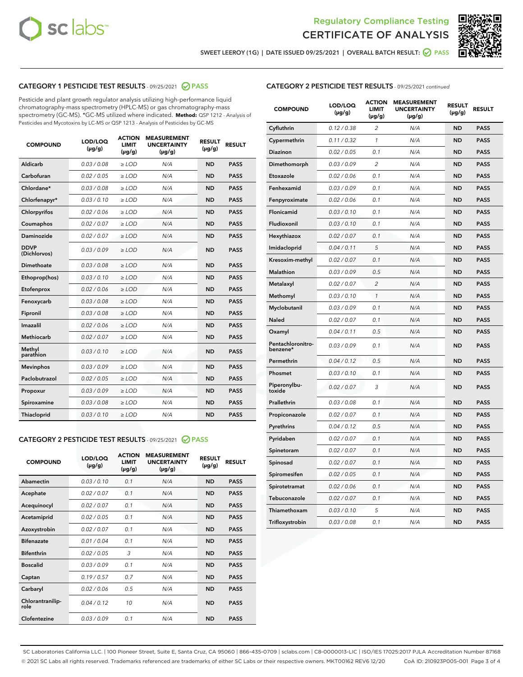



SWEET LEEROY (1G) | DATE ISSUED 09/25/2021 | OVERALL BATCH RESULT:  $\bigcirc$  PASS

# CATEGORY 1 PESTICIDE TEST RESULTS - 09/25/2021 2 PASS

Pesticide and plant growth regulator analysis utilizing high-performance liquid chromatography-mass spectrometry (HPLC-MS) or gas chromatography-mass spectrometry (GC-MS). \*GC-MS utilized where indicated. **Method:** QSP 1212 - Analysis of Pesticides and Mycotoxins by LC-MS or QSP 1213 - Analysis of Pesticides by GC-MS

| <b>COMPOUND</b>             | LOD/LOQ<br>$(\mu g/g)$ | <b>ACTION</b><br><b>LIMIT</b><br>$(\mu g/g)$ | <b>MEASUREMENT</b><br><b>UNCERTAINTY</b><br>$(\mu g/g)$ | <b>RESULT</b><br>$(\mu g/g)$ | <b>RESULT</b> |
|-----------------------------|------------------------|----------------------------------------------|---------------------------------------------------------|------------------------------|---------------|
| Aldicarb                    | 0.03/0.08              | $>$ LOD                                      | N/A                                                     | <b>ND</b>                    | <b>PASS</b>   |
| Carbofuran                  | 0.02 / 0.05            | $\ge$ LOD                                    | N/A                                                     | <b>ND</b>                    | <b>PASS</b>   |
| Chlordane*                  | 0.03/0.08              | $>$ LOD                                      | N/A                                                     | <b>ND</b>                    | <b>PASS</b>   |
| Chlorfenapyr*               | 0.03 / 0.10            | $\ge$ LOD                                    | N/A                                                     | <b>ND</b>                    | <b>PASS</b>   |
| Chlorpyrifos                | 0.02 / 0.06            | $\ge$ LOD                                    | N/A                                                     | <b>ND</b>                    | <b>PASS</b>   |
| Coumaphos                   | 0.02 / 0.07            | $\ge$ LOD                                    | N/A                                                     | <b>ND</b>                    | <b>PASS</b>   |
| Daminozide                  | 0.02 / 0.07            | $\ge$ LOD                                    | N/A                                                     | <b>ND</b>                    | <b>PASS</b>   |
| <b>DDVP</b><br>(Dichlorvos) | 0.03/0.09              | $\ge$ LOD                                    | N/A                                                     | <b>ND</b>                    | <b>PASS</b>   |
| <b>Dimethoate</b>           | 0.03/0.08              | $\ge$ LOD                                    | N/A                                                     | <b>ND</b>                    | <b>PASS</b>   |
| Ethoprop(hos)               | 0.03/0.10              | $\ge$ LOD                                    | N/A                                                     | <b>ND</b>                    | <b>PASS</b>   |
| Etofenprox                  | 0.02 / 0.06            | $\ge$ LOD                                    | N/A                                                     | <b>ND</b>                    | <b>PASS</b>   |
| Fenoxycarb                  | 0.03 / 0.08            | $\ge$ LOD                                    | N/A                                                     | <b>ND</b>                    | <b>PASS</b>   |
| Fipronil                    | 0.03/0.08              | $>$ LOD                                      | N/A                                                     | <b>ND</b>                    | <b>PASS</b>   |
| Imazalil                    | 0.02 / 0.06            | $\ge$ LOD                                    | N/A                                                     | <b>ND</b>                    | <b>PASS</b>   |
| Methiocarb                  | 0.02 / 0.07            | $\ge$ LOD                                    | N/A                                                     | <b>ND</b>                    | <b>PASS</b>   |
| Methyl<br>parathion         | 0.03/0.10              | $\ge$ LOD                                    | N/A                                                     | <b>ND</b>                    | <b>PASS</b>   |
| <b>Mevinphos</b>            | 0.03/0.09              | $\ge$ LOD                                    | N/A                                                     | <b>ND</b>                    | <b>PASS</b>   |
| Paclobutrazol               | 0.02 / 0.05            | $>$ LOD                                      | N/A                                                     | <b>ND</b>                    | <b>PASS</b>   |
| Propoxur                    | 0.03/0.09              | $\ge$ LOD                                    | N/A                                                     | <b>ND</b>                    | <b>PASS</b>   |
| Spiroxamine                 | 0.03 / 0.08            | $\ge$ LOD                                    | N/A                                                     | <b>ND</b>                    | <b>PASS</b>   |
| Thiacloprid                 | 0.03/0.10              | $\ge$ LOD                                    | N/A                                                     | <b>ND</b>                    | <b>PASS</b>   |
|                             |                        |                                              |                                                         |                              |               |

#### CATEGORY 2 PESTICIDE TEST RESULTS - 09/25/2021 @ PASS

| <b>COMPOUND</b>          | LOD/LOQ<br>$(\mu g/g)$ | <b>ACTION</b><br><b>LIMIT</b><br>$(\mu g/g)$ | <b>MEASUREMENT</b><br><b>UNCERTAINTY</b><br>$(\mu g/g)$ | <b>RESULT</b><br>$(\mu g/g)$ | <b>RESULT</b> |
|--------------------------|------------------------|----------------------------------------------|---------------------------------------------------------|------------------------------|---------------|
| Abamectin                | 0.03/0.10              | 0.1                                          | N/A                                                     | <b>ND</b>                    | <b>PASS</b>   |
| Acephate                 | 0.02/0.07              | 0.1                                          | N/A                                                     | <b>ND</b>                    | <b>PASS</b>   |
| Acequinocyl              | 0.02/0.07              | 0.1                                          | N/A                                                     | <b>ND</b>                    | <b>PASS</b>   |
| Acetamiprid              | 0.02/0.05              | 0.1                                          | N/A                                                     | <b>ND</b>                    | <b>PASS</b>   |
| Azoxystrobin             | 0.02/0.07              | 0.1                                          | N/A                                                     | <b>ND</b>                    | <b>PASS</b>   |
| <b>Bifenazate</b>        | 0.01/0.04              | 0.1                                          | N/A                                                     | <b>ND</b>                    | <b>PASS</b>   |
| <b>Bifenthrin</b>        | 0.02/0.05              | 3                                            | N/A                                                     | <b>ND</b>                    | <b>PASS</b>   |
| <b>Boscalid</b>          | 0.03/0.09              | 0.1                                          | N/A                                                     | <b>ND</b>                    | <b>PASS</b>   |
| Captan                   | 0.19/0.57              | 0.7                                          | N/A                                                     | <b>ND</b>                    | <b>PASS</b>   |
| Carbaryl                 | 0.02/0.06              | 0.5                                          | N/A                                                     | <b>ND</b>                    | <b>PASS</b>   |
| Chlorantranilip-<br>role | 0.04/0.12              | 10                                           | N/A                                                     | <b>ND</b>                    | <b>PASS</b>   |
| Clofentezine             | 0.03/0.09              | 0.1                                          | N/A                                                     | <b>ND</b>                    | <b>PASS</b>   |

# CATEGORY 2 PESTICIDE TEST RESULTS - 09/25/2021 continued

| <b>COMPOUND</b>               | LOD/LOQ<br>$(\mu g/g)$ | <b>ACTION</b><br>LIMIT<br>$(\mu g/g)$ | <b>MEASUREMENT</b><br><b>UNCERTAINTY</b><br>(µg/g) | <b>RESULT</b><br>(µg/g) | <b>RESULT</b> |
|-------------------------------|------------------------|---------------------------------------|----------------------------------------------------|-------------------------|---------------|
| Cyfluthrin                    | 0.12 / 0.38            | 2                                     | N/A                                                | <b>ND</b>               | <b>PASS</b>   |
| Cypermethrin                  | 0.11 / 0.32            | $\mathbf{1}$                          | N/A                                                | <b>ND</b>               | <b>PASS</b>   |
| <b>Diazinon</b>               | 0.02 / 0.05            | 0.1                                   | N/A                                                | <b>ND</b>               | <b>PASS</b>   |
| Dimethomorph                  | 0.03 / 0.09            | 2                                     | N/A                                                | <b>ND</b>               | <b>PASS</b>   |
| Etoxazole                     | 0.02 / 0.06            | 0.1                                   | N/A                                                | <b>ND</b>               | PASS          |
| Fenhexamid                    | 0.03 / 0.09            | 0.1                                   | N/A                                                | <b>ND</b>               | <b>PASS</b>   |
| Fenpyroximate                 | 0.02 / 0.06            | 0.1                                   | N/A                                                | <b>ND</b>               | <b>PASS</b>   |
| Flonicamid                    | 0.03 / 0.10            | 0.1                                   | N/A                                                | <b>ND</b>               | <b>PASS</b>   |
| Fludioxonil                   | 0.03 / 0.10            | 0.1                                   | N/A                                                | <b>ND</b>               | <b>PASS</b>   |
| Hexythiazox                   | 0.02 / 0.07            | 0.1                                   | N/A                                                | <b>ND</b>               | <b>PASS</b>   |
| Imidacloprid                  | 0.04 / 0.11            | 5                                     | N/A                                                | <b>ND</b>               | <b>PASS</b>   |
| Kresoxim-methyl               | 0.02 / 0.07            | 0.1                                   | N/A                                                | <b>ND</b>               | <b>PASS</b>   |
| Malathion                     | 0.03 / 0.09            | 0.5                                   | N/A                                                | <b>ND</b>               | <b>PASS</b>   |
| Metalaxyl                     | 0.02 / 0.07            | $\overline{2}$                        | N/A                                                | <b>ND</b>               | <b>PASS</b>   |
| Methomyl                      | 0.03 / 0.10            | 1                                     | N/A                                                | <b>ND</b>               | <b>PASS</b>   |
| Myclobutanil                  | 0.03 / 0.09            | 0.1                                   | N/A                                                | <b>ND</b>               | <b>PASS</b>   |
| Naled                         | 0.02 / 0.07            | 0.1                                   | N/A                                                | <b>ND</b>               | <b>PASS</b>   |
| Oxamyl                        | 0.04/0.11              | 0.5                                   | N/A                                                | <b>ND</b>               | <b>PASS</b>   |
| Pentachloronitro-<br>benzene* | 0.03 / 0.09            | 0.1                                   | N/A                                                | <b>ND</b>               | PASS          |
| Permethrin                    | 0.04 / 0.12            | 0.5                                   | N/A                                                | <b>ND</b>               | <b>PASS</b>   |
| Phosmet                       | 0.03/0.10              | 0.1                                   | N/A                                                | <b>ND</b>               | <b>PASS</b>   |
| Piperonylbu-<br>toxide        | 0.02 / 0.07            | 3                                     | N/A                                                | <b>ND</b>               | <b>PASS</b>   |
| Prallethrin                   | 0.03 / 0.08            | 0.1                                   | N/A                                                | <b>ND</b>               | <b>PASS</b>   |
| Propiconazole                 | 0.02 / 0.07            | 0.1                                   | N/A                                                | ND                      | PASS          |
| Pyrethrins                    | 0.04 / 0.12            | 0.5                                   | N/A                                                | <b>ND</b>               | <b>PASS</b>   |
| Pyridaben                     | 0.02 / 0.07            | 0.1                                   | N/A                                                | ND                      | PASS          |
| Spinetoram                    | 0.02 / 0.07            | 0.1                                   | N/A                                                | <b>ND</b>               | PASS          |
| Spinosad                      | 0.02 / 0.07            | 0.1                                   | N/A                                                | <b>ND</b>               | <b>PASS</b>   |
| Spiromesifen                  | 0.02 / 0.05            | 0.1                                   | N/A                                                | ND                      | PASS          |
| Spirotetramat                 | 0.02 / 0.06            | 0.1                                   | N/A                                                | ND                      | PASS          |
| Tebuconazole                  | 0.02 / 0.07            | 0.1                                   | N/A                                                | <b>ND</b>               | <b>PASS</b>   |
| Thiamethoxam                  | 0.03 / 0.10            | 5                                     | N/A                                                | <b>ND</b>               | <b>PASS</b>   |
| Trifloxystrobin               | 0.03 / 0.08            | 0.1                                   | N/A                                                | <b>ND</b>               | <b>PASS</b>   |

SC Laboratories California LLC. | 100 Pioneer Street, Suite E, Santa Cruz, CA 95060 | 866-435-0709 | sclabs.com | C8-0000013-LIC | ISO/IES 17025:2017 PJLA Accreditation Number 87168 © 2021 SC Labs all rights reserved. Trademarks referenced are trademarks of either SC Labs or their respective owners. MKT00162 REV6 12/20 CoA ID: 210923P005-001 Page 3 of 4